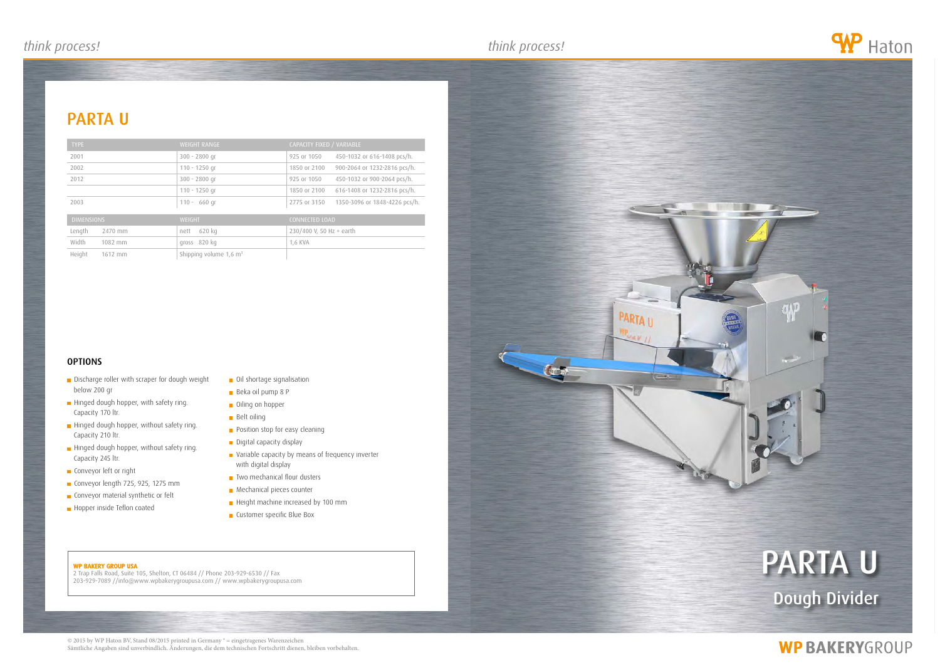#### WP BAKERY GROUP USA

2 Trap Falls Road, Suite 105, Shelton, CT 06484 // Phone 203-929-6530 // Fax 203-929-7089 //info@www.wpbakerygroupusa.com // www.wpbakerygroupusa.com

# parta u Dough Divider

 $\mathcal{P}$ 

## **WP BAKERYGROUP**

### parta u





| <b>TYPE</b>       | <b>WEIGHT RANGE</b>                  | CAPACITY FIXED / VARIABLE                     |
|-------------------|--------------------------------------|-----------------------------------------------|
| 2001              | $300 - 2800$ gr                      | 925 or 1050<br>450-1032 or 616-1408 pcs/h.    |
| 2002              | $110 - 1250$ gr                      | 900-2064 or 1232-2816 pcs/h.<br>1850 or 2100  |
| 2012              | $300 - 2800$ gr                      | 450-1032 or 900-2064 pcs/h.<br>925 or 1050    |
|                   | $110 - 1250$ gr                      | 616-1408 or 1232-2816 pcs/h.<br>1850 or 2100  |
| 2003              | $110 - 660$ qr                       | 1350-3096 or 1848-4226 pcs/h.<br>2775 or 3150 |
| <b>DIMENSIONS</b> | <b>WEIGHT</b>                        | CONNECTED LOAD                                |
| Length<br>2470 mm | 620 kg<br>nett                       | 230/400 V, 50 Hz + earth                      |
| Width<br>1082 mm  | gross 820 kg                         | 1,6 KVA                                       |
| Height<br>1612 mm | Shipping volume $1,6$ m <sup>3</sup> |                                               |

### **OPTIONS**

- Discharge roller with scraper for dough weight below 200 gr
- Hinged dough hopper, with safety ring. Capacity 170 ltr.
- Hinged dough hopper, without safety ring. Capacity 210 ltr.
- Hinged dough hopper, without safety ring. Capacity 245 ltr.
- **Conveyor left or right**
- Conveyor length 725, 925, 1275 mm
- **Conveyor material synthetic or felt**
- Hopper inside Teflon coated
- **Oil shortage signalisation**
- Beka oil pump 8 P
- **Oiling on hopper**
- **Belt oiling**
- **Position stop for easy cleaning**
- Digital capacity display
- **variable capacity by means of frequency inverter** with digital display
- $\blacksquare$  Two mechanical flour dusters
- **Mechanical pieces counter**
- Height machine increased by 100 mm
- **Customer specific Blue Box**